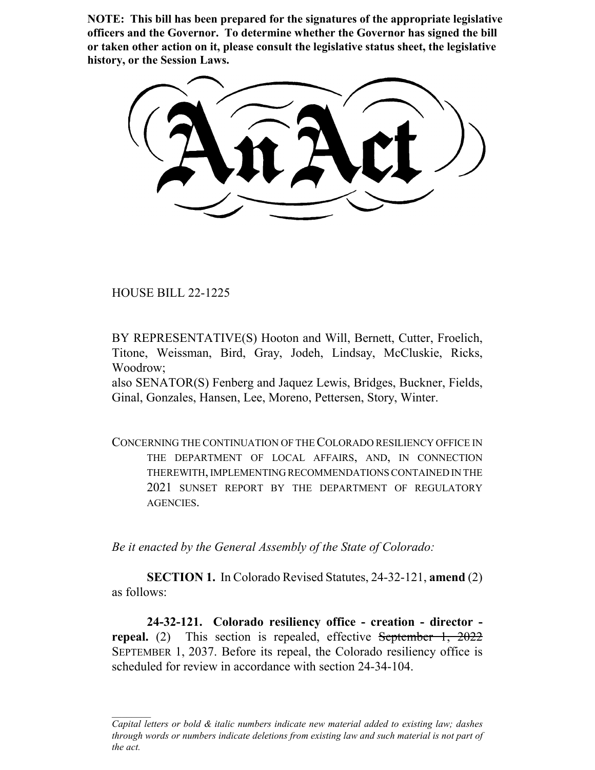**NOTE: This bill has been prepared for the signatures of the appropriate legislative officers and the Governor. To determine whether the Governor has signed the bill or taken other action on it, please consult the legislative status sheet, the legislative history, or the Session Laws.**

HOUSE BILL 22-1225

BY REPRESENTATIVE(S) Hooton and Will, Bernett, Cutter, Froelich, Titone, Weissman, Bird, Gray, Jodeh, Lindsay, McCluskie, Ricks, Woodrow;

also SENATOR(S) Fenberg and Jaquez Lewis, Bridges, Buckner, Fields, Ginal, Gonzales, Hansen, Lee, Moreno, Pettersen, Story, Winter.

CONCERNING THE CONTINUATION OF THE COLORADO RESILIENCY OFFICE IN THE DEPARTMENT OF LOCAL AFFAIRS, AND, IN CONNECTION THEREWITH, IMPLEMENTING RECOMMENDATIONS CONTAINED IN THE 2021 SUNSET REPORT BY THE DEPARTMENT OF REGULATORY AGENCIES.

*Be it enacted by the General Assembly of the State of Colorado:*

**SECTION 1.** In Colorado Revised Statutes, 24-32-121, **amend** (2) as follows:

**24-32-121. Colorado resiliency office - creation - director repeal.** (2) This section is repealed, effective September 1, 2022 SEPTEMBER 1, 2037. Before its repeal, the Colorado resiliency office is scheduled for review in accordance with section 24-34-104.

*Capital letters or bold & italic numbers indicate new material added to existing law; dashes through words or numbers indicate deletions from existing law and such material is not part of the act.*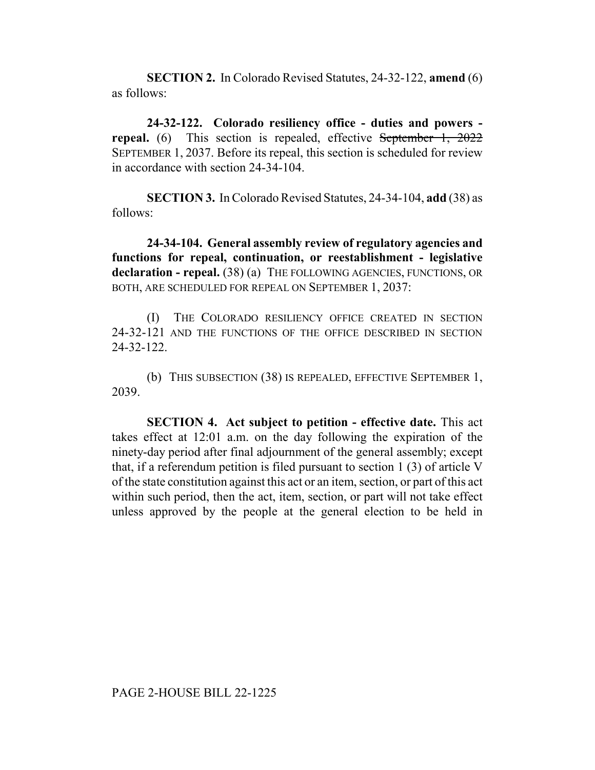**SECTION 2.** In Colorado Revised Statutes, 24-32-122, **amend** (6) as follows:

**24-32-122. Colorado resiliency office - duties and powers repeal.** (6) This section is repealed, effective September 1, 2022 SEPTEMBER 1, 2037. Before its repeal, this section is scheduled for review in accordance with section 24-34-104.

**SECTION 3.** In Colorado Revised Statutes, 24-34-104, **add** (38) as follows:

**24-34-104. General assembly review of regulatory agencies and functions for repeal, continuation, or reestablishment - legislative** declaration - repeal. (38) (a) THE FOLLOWING AGENCIES, FUNCTIONS, OR BOTH, ARE SCHEDULED FOR REPEAL ON SEPTEMBER 1, 2037:

(I) THE COLORADO RESILIENCY OFFICE CREATED IN SECTION 24-32-121 AND THE FUNCTIONS OF THE OFFICE DESCRIBED IN SECTION 24-32-122.

(b) THIS SUBSECTION (38) IS REPEALED, EFFECTIVE SEPTEMBER 1, 2039.

**SECTION 4. Act subject to petition - effective date.** This act takes effect at 12:01 a.m. on the day following the expiration of the ninety-day period after final adjournment of the general assembly; except that, if a referendum petition is filed pursuant to section 1 (3) of article V of the state constitution against this act or an item, section, or part of this act within such period, then the act, item, section, or part will not take effect unless approved by the people at the general election to be held in